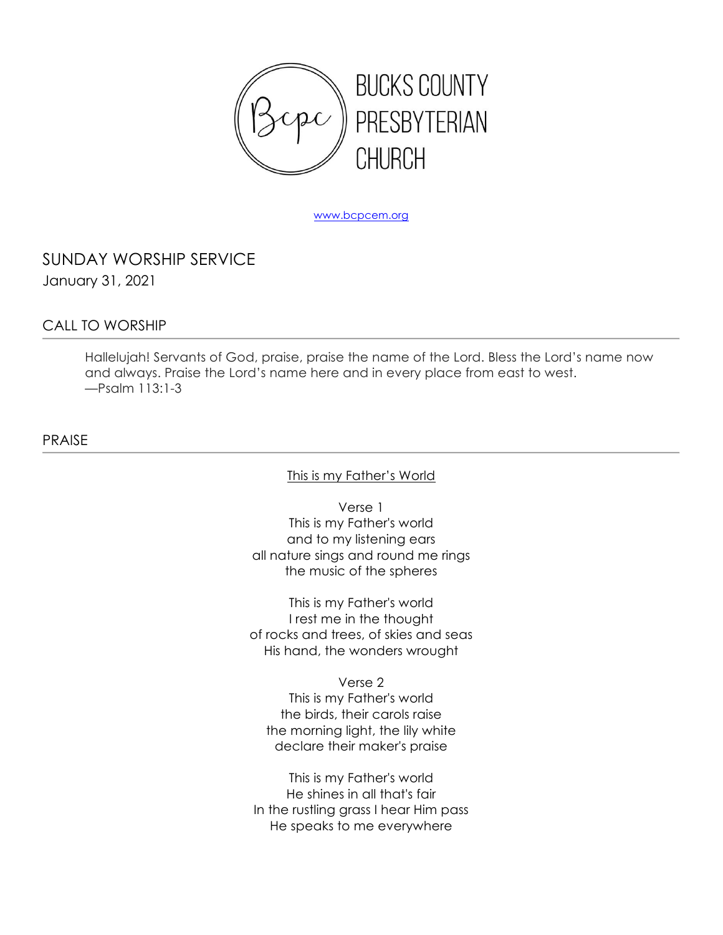

www.bcpcem.org

SUNDAY WORSHIP SERVICE January 31, 2021

# CALL TO WORSHIP

Hallelujah! Servants of God, praise, praise the name of the Lord. Bless the Lord's name now and always. Praise the Lord's name here and in every place from east to west. —Psalm 113:1-3

PRAISE

This is my Father's World

Verse 1 This is my Father's world and to my listening ears all nature sings and round me rings the music of the spheres

This is my Father's world I rest me in the thought of rocks and trees, of skies and seas His hand, the wonders wrought

Verse 2 This is my Father's world the birds, their carols raise the morning light, the lily white declare their maker's praise

This is my Father's world He shines in all that's fair In the rustling grass I hear Him pass He speaks to me everywhere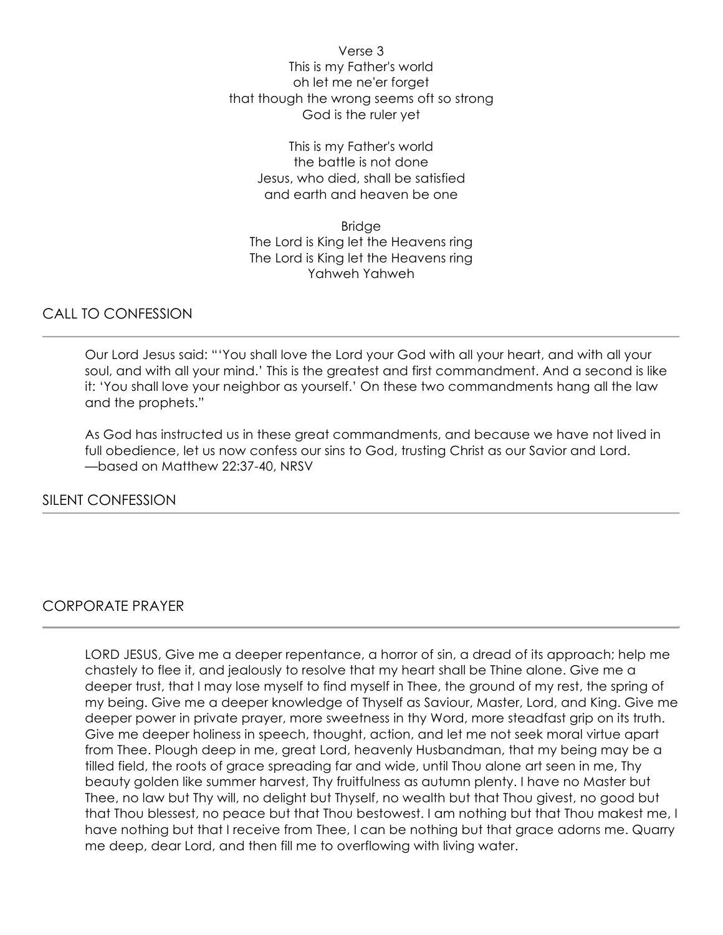Verse 3 This is my Father's world oh let me ne'er forget that though the wrong seems oft so strong God is the ruler yet

> This is my Father's world the battle is not done Jesus, who died, shall be satisfied and earth and heaven be one

Bridge The Lord is King let the Heavens ring The Lord is King let the Heavens ring Yahweh Yahweh

# CALL TO CONFESSION

Our Lord Jesus said: "'You shall love the Lord your God with all your heart, and with all your soul, and with all your mind.' This is the greatest and first commandment. And a second is like it: 'You shall love your neighbor as yourself.' On these two commandments hang all the law and the prophets."

As God has instructed us in these great commandments, and because we have not lived in full obedience, let us now confess our sins to God, trusting Christ as our Savior and Lord. —based on Matthew 22:37-40, NRSV

# SILENT CONFESSION

# CORPORATE PRAYER

LORD JESUS, Give me a deeper repentance, a horror of sin, a dread of its approach; help me chastely to flee it, and jealously to resolve that my heart shall be Thine alone. Give me a deeper trust, that I may lose myself to find myself in Thee, the ground of my rest, the spring of my being. Give me a deeper knowledge of Thyself as Saviour, Master, Lord, and King. Give me deeper power in private prayer, more sweetness in thy Word, more steadfast grip on its truth. Give me deeper holiness in speech, thought, action, and let me not seek moral virtue apart from Thee. Plough deep in me, great Lord, heavenly Husbandman, that my being may be a tilled field, the roots of grace spreading far and wide, until Thou alone art seen in me, Thy beauty golden like summer harvest, Thy fruitfulness as autumn plenty. I have no Master but Thee, no law but Thy will, no delight but Thyself, no wealth but that Thou givest, no good but that Thou blessest, no peace but that Thou bestowest. I am nothing but that Thou makest me, I have nothing but that I receive from Thee, I can be nothing but that grace adorns me. Quarry me deep, dear Lord, and then fill me to overflowing with living water.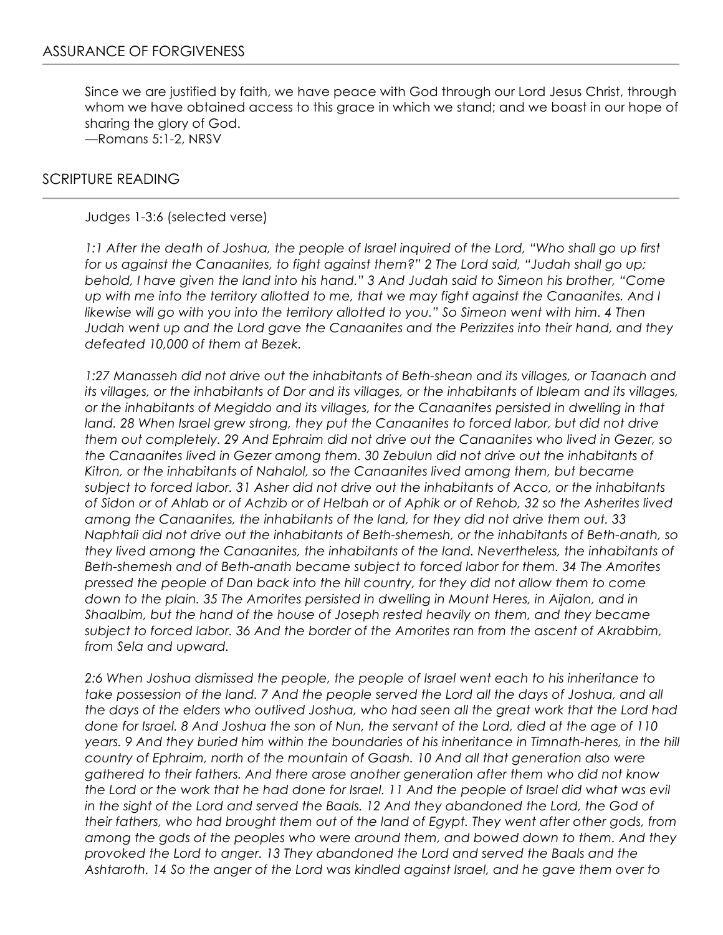Since we are justified by faith, we have peace with God through our Lord Jesus Christ, through whom we have obtained access to this grace in which we stand; and we boast in our hope of sharing the glory of God.

—Romans 5:1-2, NRSV

### SCRIPTURE READING

### Judges 1-3:6 (selected verse)

*1:1 After the death of Joshua, the people of Israel inquired of the Lord, "Who shall go up first for us against the Canaanites, to fight against them?" 2 The Lord said, "Judah shall go up; behold, I have given the land into his hand." 3 And Judah said to Simeon his brother, "Come up with me into the territory allotted to me, that we may fight against the Canaanites. And I likewise will go with you into the territory allotted to you." So Simeon went with him. 4 Then Judah went up and the Lord gave the Canaanites and the Perizzites into their hand, and they defeated 10,000 of them at Bezek.* 

*1:27 Manasseh did not drive out the inhabitants of Beth-shean and its villages, or Taanach and its villages, or the inhabitants of Dor and its villages, or the inhabitants of Ibleam and its villages, or the inhabitants of Megiddo and its villages, for the Canaanites persisted in dwelling in that land. 28 When Israel grew strong, they put the Canaanites to forced labor, but did not drive them out completely. 29 And Ephraim did not drive out the Canaanites who lived in Gezer, so the Canaanites lived in Gezer among them. 30 Zebulun did not drive out the inhabitants of Kitron, or the inhabitants of Nahalol, so the Canaanites lived among them, but became subject to forced labor. 31 Asher did not drive out the inhabitants of Acco, or the inhabitants of Sidon or of Ahlab or of Achzib or of Helbah or of Aphik or of Rehob, 32 so the Asherites lived among the Canaanites, the inhabitants of the land, for they did not drive them out. 33 Naphtali did not drive out the inhabitants of Beth-shemesh, or the inhabitants of Beth-anath, so they lived among the Canaanites, the inhabitants of the land. Nevertheless, the inhabitants of Beth-shemesh and of Beth-anath became subject to forced labor for them. 34 The Amorites pressed the people of Dan back into the hill country, for they did not allow them to come down to the plain. 35 The Amorites persisted in dwelling in Mount Heres, in Aijalon, and in Shaalbim, but the hand of the house of Joseph rested heavily on them, and they became subject to forced labor. 36 And the border of the Amorites ran from the ascent of Akrabbim, from Sela and upward.*

*2:6 When Joshua dismissed the people, the people of Israel went each to his inheritance to*  take possession of the land. 7 And the people served the Lord all the days of Joshua, and all *the days of the elders who outlived Joshua, who had seen all the great work that the Lord had done for Israel. 8 And Joshua the son of Nun, the servant of the Lord, died at the age of 110 years. 9 And they buried him within the boundaries of his inheritance in Timnath-heres, in the hill country of Ephraim, north of the mountain of Gaash. 10 And all that generation also were gathered to their fathers. And there arose another generation after them who did not know the Lord or the work that he had done for Israel. 11 And the people of Israel did what was evil in the sight of the Lord and served the Baals. 12 And they abandoned the Lord, the God of their fathers, who had brought them out of the land of Egypt. They went after other gods, from among the gods of the peoples who were around them, and bowed down to them. And they provoked the Lord to anger. 13 They abandoned the Lord and served the Baals and the Ashtaroth. 14 So the anger of the Lord was kindled against Israel, and he gave them over to*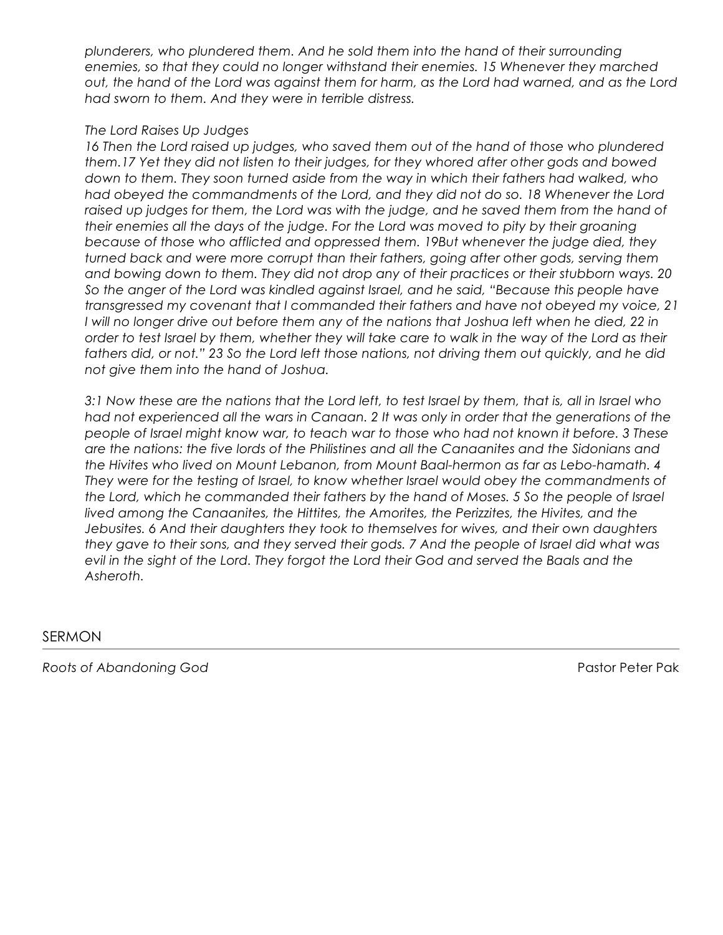*plunderers, who plundered them. And he sold them into the hand of their surrounding enemies, so that they could no longer withstand their enemies. 15 Whenever they marched out, the hand of the Lord was against them for harm, as the Lord had warned, and as the Lord had sworn to them. And they were in terrible distress.*

### *The Lord Raises Up Judges*

16 Then the Lord raised up judges, who saved them out of the hand of those who plundered *them.17 Yet they did not listen to their judges, for they whored after other gods and bowed down to them. They soon turned aside from the way in which their fathers had walked, who had obeyed the commandments of the Lord, and they did not do so. 18 Whenever the Lord*  raised up judges for them, the Lord was with the judge, and he saved them from the hand of *their enemies all the days of the judge. For the Lord was moved to pity by their groaning because of those who afflicted and oppressed them. 19But whenever the judge died, they turned back and were more corrupt than their fathers, going after other gods, serving them and bowing down to them. They did not drop any of their practices or their stubborn ways. 20 So the anger of the Lord was kindled against Israel, and he said, "Because this people have transgressed my covenant that I commanded their fathers and have not obeyed my voice, 21*  I will no longer drive out before them any of the nations that Joshua left when he died, 22 in *order to test Israel by them, whether they will take care to walk in the way of the Lord as their*  fathers did, or not." 23 So the Lord left those nations, not driving them out quickly, and he did *not give them into the hand of Joshua.*

*3:1 Now these are the nations that the Lord left, to test Israel by them, that is, all in Israel who had not experienced all the wars in Canaan. 2 It was only in order that the generations of the people of Israel might know war, to teach war to those who had not known it before. 3 These are the nations: the five lords of the Philistines and all the Canaanites and the Sidonians and the Hivites who lived on Mount Lebanon, from Mount Baal-hermon as far as Lebo-hamath. 4 They were for the testing of Israel, to know whether Israel would obey the commandments of the Lord, which he commanded their fathers by the hand of Moses. 5 So the people of Israel lived among the Canaanites, the Hittites, the Amorites, the Perizzites, the Hivites, and the Jebusites. 6 And their daughters they took to themselves for wives, and their own daughters they gave to their sons, and they served their gods. 7 And the people of Israel did what was*  evil in the sight of the Lord. They forgot the Lord their God and served the Baals and the *Asheroth.*

### **SERMON**

*Roots of Abandoning God* Pastor Peter Pak